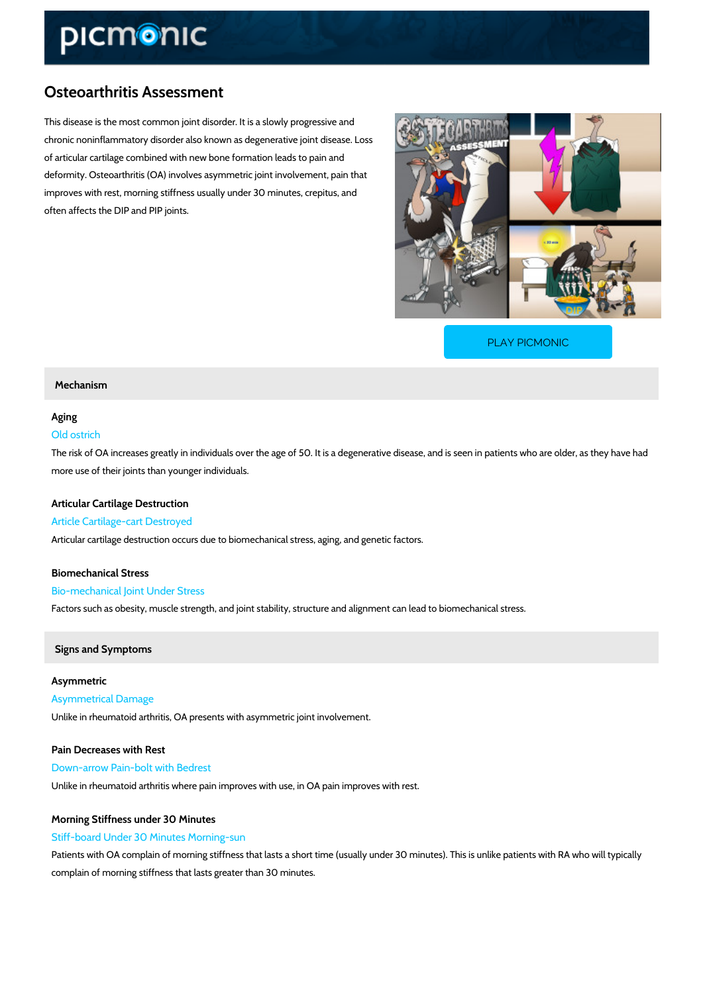# Osteoarthritis Assessment

This disease is the most common joint disorder. It is a slowly progressive and chronic noninflammatory disorder also known as degenerative joint disease. Loss of articular cartilage combined with new bone formation leads to pain and deformity. Osteoarthritis (OA) involves asymmetric joint involvement, pain that improves with rest, morning stiffness usually under 30 minutes, crepitus, and often affects the DIP and PIP joints.

[PLAY PICMONIC](https://www.picmonic.com/learn/osteoarthritis-assessment_1919?utm_source=downloadable_content&utm_medium=distributedcontent&utm_campaign=pathways_pdf&utm_content=Osteoarthritis Assessment&utm_ad_group=leads&utm_market=all)

#### Mechanism

### Aging

#### Old ostrich

The risk of OA increases greatly in individuals over the age of 50. It is a degenerative diseas more use of their joints than younger individuals.

#### Articular Cartilage Destruction

Article Cartilage-cart Destroyed Articular cartilage destruction occurs due to biomechanical stress, aging, and genetic factors.

## Biomechanical Stress Bio-mechanical Joint Under Stress Factors such as obesity, muscle strength, and joint stability, structure and alignment can lead

Signs and Symptoms

# Asymmetric Asymmetrical Damage Unlike in rheumatoid arthritis, OA presents with asymmetric joint involvement.

Pain Decreases with Rest Down-arrow Pain-bolt with Bedrest Unlike in rheumatoid arthritis where pain improves with use, in OA pain improves with rest.

### Morning Stiffness under 30 Minutes Stiff-board Under 30 Minutes Morning-sun

Patients with OA complain of morning stiffness that lasts a short time (usually under 30 minut complain of morning stiffness that lasts greater than 30 minutes.